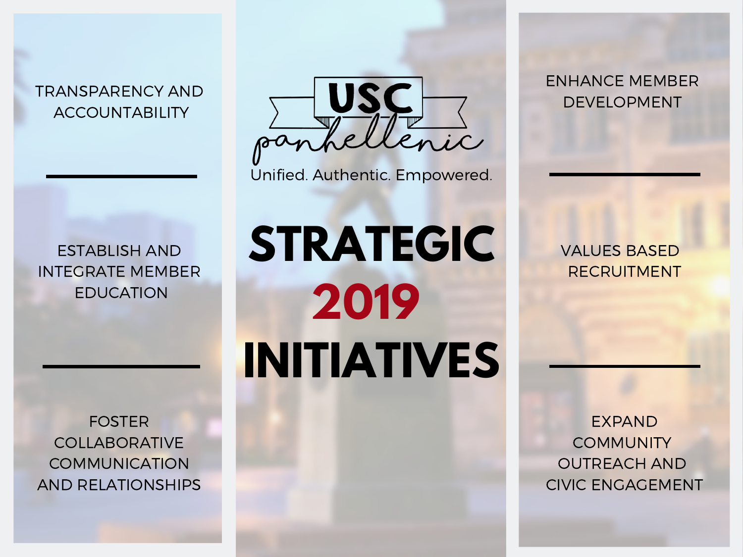TRANSPARENCY AND ACCOUNTABILITY



Unified. Authentic. Empowered.

ENHANCE MEMBER DEVELOPMENT

ESTABLISH AND INTEGRATE MEMBER EDUCATION

FOSTER COLLABORATIVE **COMMUNICATION** AND RELATIONSHIPS

**STRATEGIC 2019 INITIATIVES**

VALUES BASED RECRUITMENT

EXPAND **COMMUNITY** OUTREACH AND CIVIC ENGAGEMENT